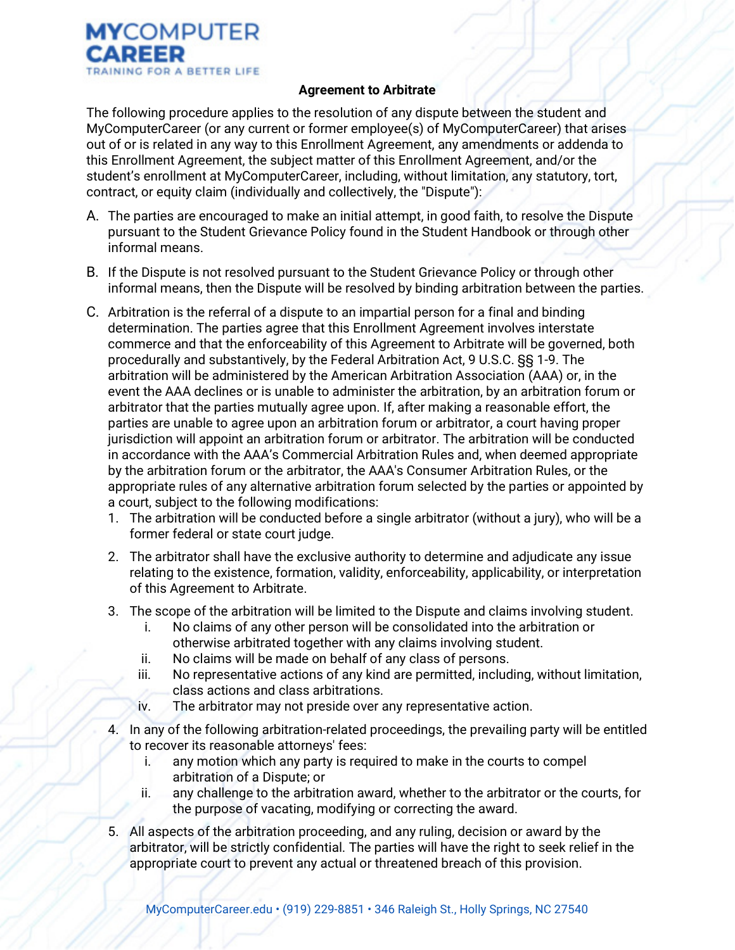

## Agreement to Arbitrate

The following procedure applies to the resolution of any dispute between the student and MyComputerCareer (or any current or former employee(s) of MyComputerCareer) that arises out of or is related in any way to this Enrollment Agreement, any amendments or addenda to this Enrollment Agreement, the subject matter of this Enrollment Agreement, and/or the student's enrollment at MyComputerCareer, including, without limitation, any statutory, tort, contract, or equity claim (individually and collectively, the "Dispute"):

- A. The parties are encouraged to make an initial attempt, in good faith, to resolve the Dispute pursuant to the Student Grievance Policy found in the Student Handbook or through other informal means.
- B. If the Dispute is not resolved pursuant to the Student Grievance Policy or through other informal means, then the Dispute will be resolved by binding arbitration between the parties.
- C. Arbitration is the referral of a dispute to an impartial person for a final and binding determination. The parties agree that this Enrollment Agreement involves interstate commerce and that the enforceability of this Agreement to Arbitrate will be governed, both procedurally and substantively, by the Federal Arbitration Act, 9 U.S.C. §§ 1-9. The arbitration will be administered by the American Arbitration Association (AAA) or, in the event the AAA declines or is unable to administer the arbitration, by an arbitration forum or arbitrator that the parties mutually agree upon. If, after making a reasonable effort, the parties are unable to agree upon an arbitration forum or arbitrator, a court having proper jurisdiction will appoint an arbitration forum or arbitrator. The arbitration will be conducted in accordance with the AAA's Commercial Arbitration Rules and, when deemed appropriate by the arbitration forum or the arbitrator, the AAA's Consumer Arbitration Rules, or the appropriate rules of any alternative arbitration forum selected by the parties or appointed by a court, subject to the following modifications:
	- 1. The arbitration will be conducted before a single arbitrator (without a jury), who will be a former federal or state court judge.
	- 2. The arbitrator shall have the exclusive authority to determine and adjudicate any issue relating to the existence, formation, validity, enforceability, applicability, or interpretation of this Agreement to Arbitrate.
	- 3. The scope of the arbitration will be limited to the Dispute and claims involving student.
		- i. No claims of any other person will be consolidated into the arbitration or otherwise arbitrated together with any claims involving student.
		- ii. No claims will be made on behalf of any class of persons.
		- iii. No representative actions of any kind are permitted, including, without limitation, class actions and class arbitrations.
		- iv. The arbitrator may not preside over any representative action.
	- 4. In any of the following arbitration-related proceedings, the prevailing party will be entitled to recover its reasonable attorneys' fees:
		- i. any motion which any party is required to make in the courts to compel arbitration of a Dispute; or
		- ii. any challenge to the arbitration award, whether to the arbitrator or the courts, for the purpose of vacating, modifying or correcting the award.
	- 5. All aspects of the arbitration proceeding, and any ruling, decision or award by the arbitrator, will be strictly confidential. The parties will have the right to seek relief in the appropriate court to prevent any actual or threatened breach of this provision.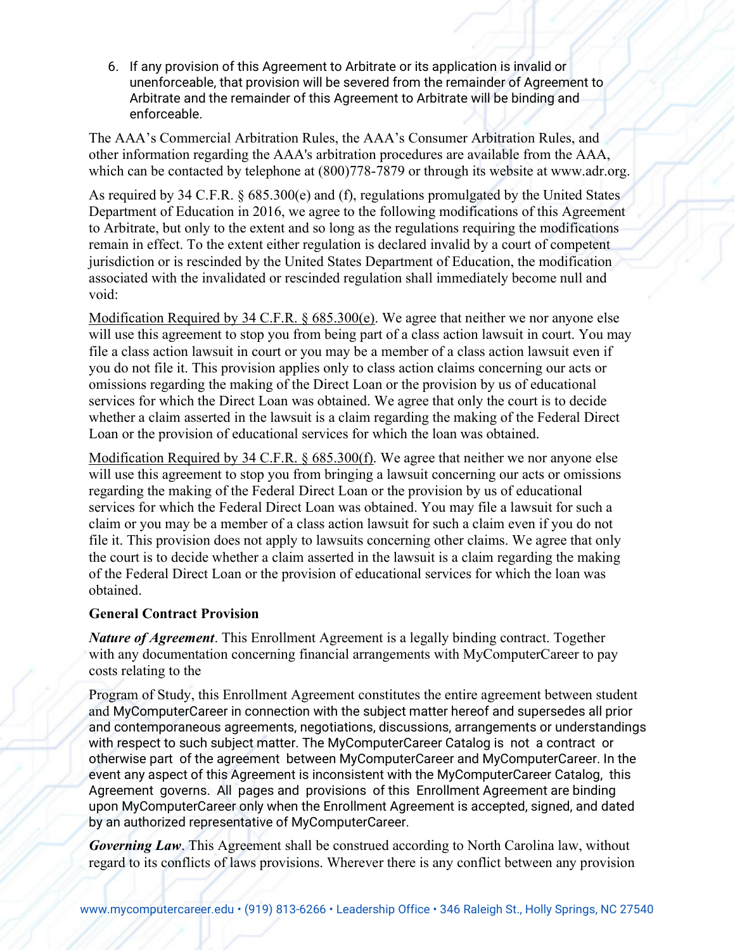6. If any provision of this Agreement to Arbitrate or its application is invalid or unenforceable, that provision will be severed from the remainder of Agreement to Arbitrate and the remainder of this Agreement to Arbitrate will be binding and enforceable.

The AAA's Commercial Arbitration Rules, the AAA's Consumer Arbitration Rules, and other information regarding the AAA's arbitration procedures are available from the AAA, which can be contacted by telephone at (800)778-7879 or through its website at www.adr.org.

As required by 34 C.F.R. § 685.300(e) and (f), regulations promulgated by the United States Department of Education in 2016, we agree to the following modifications of this Agreement to Arbitrate, but only to the extent and so long as the regulations requiring the modifications remain in effect. To the extent either regulation is declared invalid by a court of competent jurisdiction or is rescinded by the United States Department of Education, the modification associated with the invalidated or rescinded regulation shall immediately become null and void:

Modification Required by 34 C.F.R. § 685.300(e). We agree that neither we nor anyone else will use this agreement to stop you from being part of a class action lawsuit in court. You may file a class action lawsuit in court or you may be a member of a class action lawsuit even if you do not file it. This provision applies only to class action claims concerning our acts or omissions regarding the making of the Direct Loan or the provision by us of educational services for which the Direct Loan was obtained. We agree that only the court is to decide whether a claim asserted in the lawsuit is a claim regarding the making of the Federal Direct Loan or the provision of educational services for which the loan was obtained.

Modification Required by 34 C.F.R. § 685.300(f). We agree that neither we nor anyone else will use this agreement to stop you from bringing a lawsuit concerning our acts or omissions regarding the making of the Federal Direct Loan or the provision by us of educational services for which the Federal Direct Loan was obtained. You may file a lawsuit for such a claim or you may be a member of a class action lawsuit for such a claim even if you do not file it. This provision does not apply to lawsuits concerning other claims. We agree that only the court is to decide whether a claim asserted in the lawsuit is a claim regarding the making of the Federal Direct Loan or the provision of educational services for which the loan was obtained.

## General Contract Provision

Nature of Agreement. This Enrollment Agreement is a legally binding contract. Together with any documentation concerning financial arrangements with MyComputerCareer to pay costs relating to the

Program of Study, this Enrollment Agreement constitutes the entire agreement between student and MyComputerCareer in connection with the subject matter hereof and supersedes all prior and contemporaneous agreements, negotiations, discussions, arrangements or understandings with respect to such subject matter. The MyComputerCareer Catalog is not a contract or otherwise part of the agreement between MyComputerCareer and MyComputerCareer. In the event any aspect of this Agreement is inconsistent with the MyComputerCareer Catalog, this Agreement governs. All pages and provisions of this Enrollment Agreement are binding upon MyComputerCareer only when the Enrollment Agreement is accepted, signed, and dated by an authorized representative of MyComputerCareer.

**Governing Law.** This Agreement shall be construed according to North Carolina law, without regard to its conflicts of laws provisions. Wherever there is any conflict between any provision